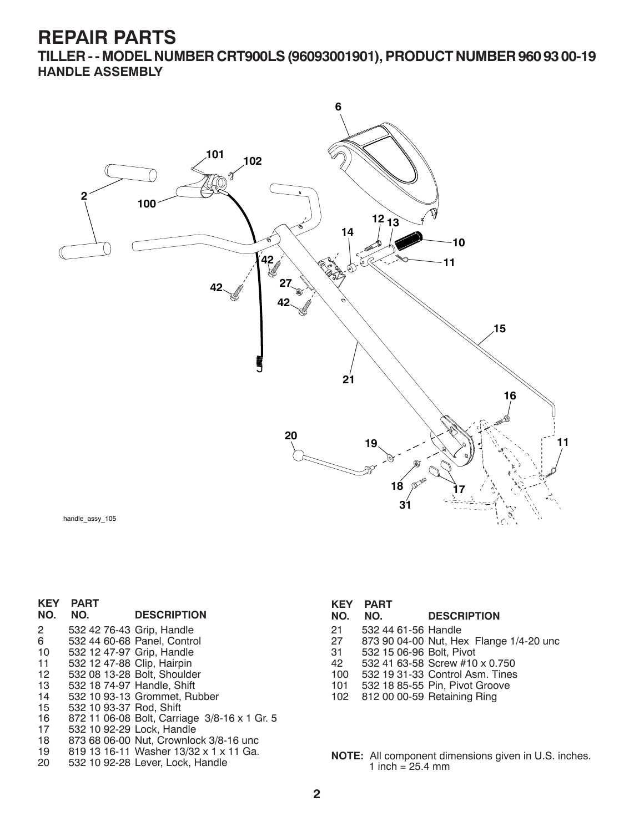**TILLER - - MODEL NUMBER CRT900LS (96093001901), PRODUCT NUMBER 960 93 00-19 HANDLE ASSEMBLY**



| <b>KEY</b>       | <b>PART</b>                |                                              | <b>KEY</b> | <b>PART</b>              |                                         |
|------------------|----------------------------|----------------------------------------------|------------|--------------------------|-----------------------------------------|
| NO.              | NO.                        | <b>DESCRIPTION</b>                           | NO.        | NO.                      | <b>DESCRIPTION</b>                      |
| $\overline{2}$   | 532 42 76-43 Grip, Handle  |                                              | 21         | 532 44 61-56 Handle      |                                         |
| 6                |                            | 532 44 60-68 Panel, Control                  | 27         |                          | 873 90 04-00 Nut, Hex Flange 1/4-20 unc |
| 10               | 532 12 47-97 Grip, Handle  |                                              | 31         | 532 15 06-96 Bolt, Pivot |                                         |
| 11               | 532 12 47-88 Clip, Hairpin |                                              | 42         |                          | 532 41 63-58 Screw #10 x 0.750          |
| 12 <sup>12</sup> |                            | 532 08 13-28 Bolt, Shoulder                  | 100        |                          | 532 19 31-33 Control Asm. Tines         |
| 13               |                            | 532 18 74-97 Handle, Shift                   | 101        |                          | 532 18 85-55 Pin, Pivot Groove          |
| 14               |                            | 532 10 93-13 Grommet, Rubber                 |            |                          | 102 812 00 00-59 Retaining Ring         |
| 15               | 532 10 93-37 Rod, Shift    |                                              |            |                          |                                         |
| 16               |                            | 872 11 06-08 Bolt, Carriage 3/8-16 x 1 Gr. 5 |            |                          |                                         |
| 17               |                            | 532 10 92-29 Lock, Handle                    |            |                          |                                         |
| 18               |                            | 873.68.06-00. Nut. Crownlock 3/8-16 upc.     |            |                          |                                         |

- 18 873 68 06-00 Nut, Crownlock 3/8-16 unc 19 819 13 16-11 Washer 13/32 x 1 x 11 Ga.
- 

**2**

**NOTE:** All component dimensions given in U.S. inches.

1 inch =  $25.4 \, \text{mm}$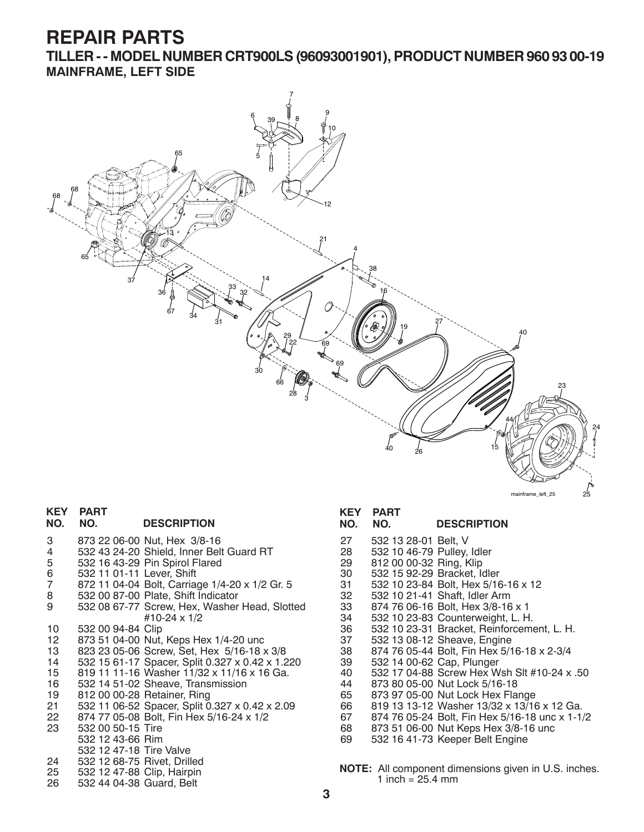**TILLER - - MODEL NUMBER CRT900LS (96093001901), PRODUCT NUMBER 960 93 00-19 MAINFRAME, LEFT SIDE**



## **KEY PART**

#### **NO. NO. DESCRIPTION**

- 3 873 22 06-00 Nut, Hex 3/8-16
- 4 532 43 24-20 Shield, Inner Belt Guard RT
- 5 532 16 43-29 Pin Spirol Flared
- 6 532 11 01-11 Lever, Shift
- 7 872 11 04-04 Bolt, Carriage 1/4-20 x 1/2 Gr. 5
- 8 532 00 87-00 Plate, Shift Indicator
- 9 532 08 67-77 Screw, Hex, Washer Head, Slotted #10-24 x 1/2
- 10 532 00 94-84 Clip
- 873 51 04-00 Nut, Keps Hex 1/4-20 unc
- 13 823 23 05-06 Screw, Set, Hex 5/16-18 x 3/8 14 532 15 61-17 Spacer, Split 0.327 x 0.42 x 1.220
- 15 819 11 11-16 Washer 11/32 x 11/16 x 16 Ga.
- 16 532 14 51-02 Sheave, Transmission
- 19 812 00 00-28 Retainer, Ring
- 21 532 11 06-52 Spacer, Split 0.327 x 0.42 x 2.09<br>22 874 77 05-08 Bolt, Fin Hex 5/16-24 x 1/2
- 22 874 77 05-08 Bolt, Fin Hex 5/16-24 x 1/2
- 532 00 50-15 Tire
- 532 12 43-66 Rim
- 532 12 47-18 Tire Valve<br>24 532 12 68-75 Rivet, Drill
- 24 532 12 68-75 Rivet, Drilled
- 25 532 12 47-88 Clip, Hairpin 26 532 44 04-38 Guard, Belt

#### **KEY PART**

### **NO. NO. DESCRIPTION**

- 27 532 13 28-01 Belt, V
- 28 532 10 46-79 Pulley, Idler 29 812 00 00-32 Ring, Klip
- 30 532 15 92-29 Bracket, Idler
- 
- 31 532 10 23-84 Bolt, Hex 5/16-16 x 12
- 32 532 10 21-41 Shaft, Idler Arm
- 33 874 76 06-16 Bolt, Hex 3/8-16 x 1
- 34 532 10 23-83 Counterweight, L. H.
- 36 532 10 23-31 Bracket, Reinforcement, L. H. 37 532 13 08-12 Sheave, Engine
- 
- 38 874 76 05-44 Bolt, Fin Hex 5/16-18 x 2-3/4
- 39 532 14 00-62 Cap, Plunger
- 532 17 04-88 Screw Hex Wsh Slt #10-24 x .50
- 44 873 80 05-00 Nut Lock 5/16-18
- 65 873 97 05-00 Nut Lock Hex Flange<br>66 819 13 13-12 Washer 13/32 x 13/16
- 66 819 13 13-12 Washer 13/32 x 13/16 x 12 Ga.
- 67 874 76 05-24 Bolt, Fin Hex 5/16-18 unc x 1-1/2
- 68 873 51 06-00 Nut Keps Hex 3/8-16 unc<br>69 532 16 41-73 Keeper Belt Engine 69 532 16 41-73 Keeper Belt Engine
- 
- **NOTE:** All component dimensions given in U.S. inches. 1 inch =  $25.4 \, \text{mm}$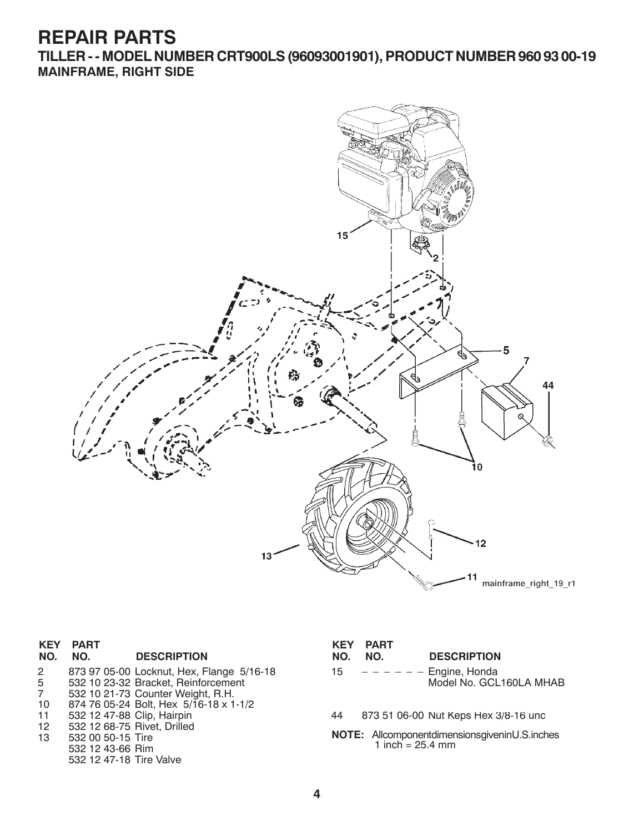**TILLER - - MODEL NUMBER CRT900LS (96093001901), PRODUCT NUMBER 960 93 00-19 MAINFRAME, RIGHT SIDE**



| <b>KEY</b><br>NO. | <b>PART</b><br>NO.          | <b>DESCRIPTION</b>                        | <b>KEY</b><br>NO.                             | <b>PART</b><br>NO. | <b>DESCRIPTION</b>                   |
|-------------------|-----------------------------|-------------------------------------------|-----------------------------------------------|--------------------|--------------------------------------|
| $\mathbf{2}$      |                             | 873 97 05-00 Locknut, Hex, Flange 5/16-18 | 15                                            |                    | $-- ---$ Engine, Honda               |
| 5 <sub>5</sub>    |                             | 532 10 23-32 Bracket, Reinforcement       |                                               |                    | Model No. GCL160LA MHAB              |
| $7\overline{ }$   |                             | 532 10 21-73 Counter Weight, R.H.         |                                               |                    |                                      |
| 10                |                             | 874 76 05-24 Bolt, Hex 5/16-18 x 1-1/2    |                                               |                    |                                      |
| 11                | 532 12 47-88 Clip, Hairpin  |                                           | 44                                            |                    | 873 51 06-00 Nut Keps Hex 3/8-16 unc |
| 12                | 532 12 68-75 Rivet, Drilled |                                           |                                               |                    |                                      |
| 13                | 532 00 50-15 Tire           |                                           | NOTE: AllcomponentdimensionsgiveninU.S.inches |                    |                                      |
|                   | 532 12 43-66 Rim            |                                           |                                               | 1 inch = $25.4$ mm |                                      |
|                   | 532 12 47-18 Tire Valve     |                                           |                                               |                    |                                      |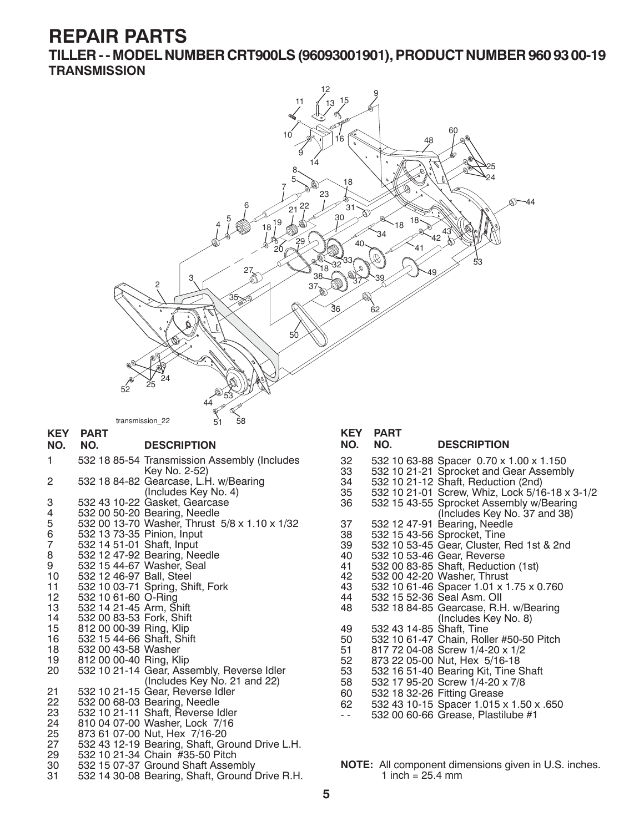**TILLER - - MODEL NUMBER CRT900LS (96093001901), PRODUCT NUMBER 960 93 00-19 TRANSMISSION**

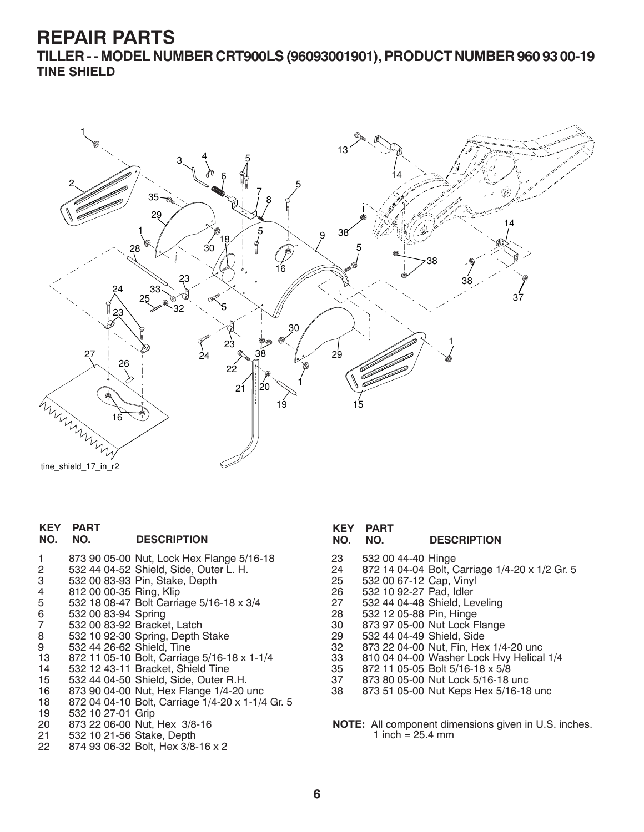**TILLER - - MODEL NUMBER CRT900LS (96093001901), PRODUCT NUMBER 960 93 00-19 TINE SHIELD**



```
tine_shield_17_in_r2
```
#### **KEY PART DESCRIPTION**

| -1<br>2          | 873 90 05-00 Nut, Lock Hex Flange 5/16-18<br>532 44 04-52 Shield, Side, Outer L. H. |
|------------------|-------------------------------------------------------------------------------------|
| 3                | 532 00 83-93 Pin, Stake, Depth                                                      |
| $\overline{4}$   | 812 00 00-35 Ring, Klip                                                             |
| 5                | 532 18 08-47 Bolt Carriage 5/16-18 x 3/4                                            |
| 6                | 532 00 83-94 Spring                                                                 |
| $\overline{7}$   | 532 00 83-92 Bracket, Latch                                                         |
| 8                | 532 10 92-30 Spring, Depth Stake                                                    |
| 9                | 532 44 26-62 Shield, Tine                                                           |
| 13               | 872 11 05-10 Bolt, Carriage 5/16-18 x 1-1/4                                         |
| 14               | 532 12 43-11 Bracket, Shield Tine                                                   |
| 15 <sup>15</sup> | 532 44 04-50 Shield, Side, Outer R.H.                                               |
| 16               | 873 90 04-00 Nut, Hex Flange 1/4-20 unc                                             |
| 18               | 872 04 04-10 Bolt, Carriage 1/4-20 x 1-1/4 Gr. 5                                    |
| 19               | 532 10 27-01 Grip                                                                   |
| 20               | 873 22 06-00 Nut, Hex 3/8-16                                                        |
| 21               | 532 10 21-56 Stake, Depth                                                           |
| 22               | 874 93 06-32 Bolt, Hex 3/8-16 x 2                                                   |

#### **KEY PART DESCRIPTION**

- 23 532 00 44-40 Hinge
- 24 872 14 04-04 Bolt, Carriage 1/4-20 x 1/2 Gr. 5
- 532 00 67-12 Cap, Vinyl
- 26 532 10 92-27 Pad, Idler
- 27 532 44 04-48 Shield, Leveling
- 28 532 12 05-88 Pin, Hinge
- 30 873 97 05-00 Nut Lock Flange
- 29 532 44 04-49 Shield, Side
- 32 873 22 04-00 Nut, Fin, Hex 1/4-20 unc
- 33 810 04 04-00 Washer Lock Hvy Helical 1/4
- 35 872 11 05-05 Bolt 5/16-18 x 5/8
- 37 873 80 05-00 Nut Lock 5/16-18 unc
- 38 873 51 05-00 Nut Keps Hex 5/16-18 unc

**NOTE:** All component dimensions given in U.S. inches. 1 inch =  $25.4 \, \text{mm}$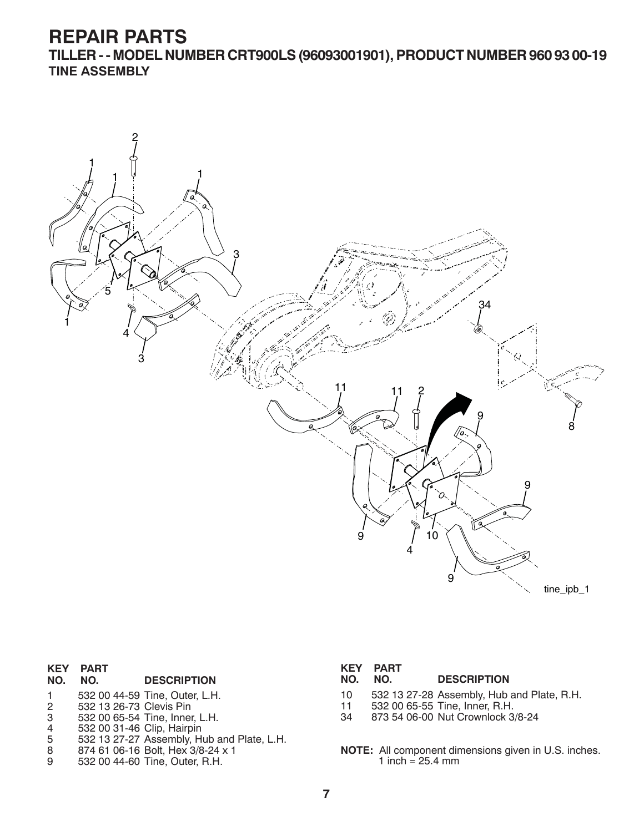**TILLER - - MODEL NUMBER CRT900LS (96093001901), PRODUCT NUMBER 960 93 00-19 TINE ASSEMBLY**



# **KEY PART**

#### **DESCRIPTION**

- 1 532 00 44-59 Tine, Outer, L.H.<br>2 532 13 26-73 Clevis Pin
- 2 532 13 26-73 Clevis Pin
- 3 532 00 65-54 Tine, Inner, L.H.
- 4 532 00 31-46 Clip, Hairpin
- 5 532 13 27-27 Assembly, Hub and Plate, L.H.
- 8 874 61 06-16 Bolt, Hex 3/8-24 x 1
- 9 532 00 44-60 Tine, Outer, R.H.

|         | <b>KEY PART</b> |                    |
|---------|-----------------|--------------------|
| NO. NO. |                 | <b>DESCRIPTION</b> |

- 10 532 13 27-28 Assembly, Hub and Plate, R.H.
- 11 532 00 65-55 Tine, Inner, R.H.<br>34 873 54 06-00 Nut Crownlock 3
- 34 873 54 06-00 Nut Crownlock 3/8-24
- **NOTE:** All component dimensions given in U.S. inches. 1 inch =  $25.4 \, \text{mm}$